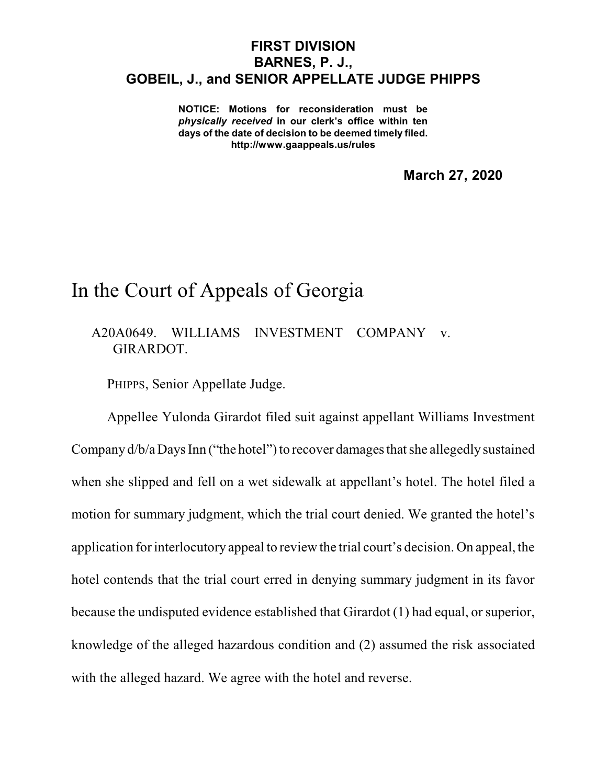## **FIRST DIVISION BARNES, P. J., GOBEIL, J., and SENIOR APPELLATE JUDGE PHIPPS**

**NOTICE: Motions for reconsideration must be** *physically received* **in our clerk's office within ten days of the date of decision to be deemed timely filed. http://www.gaappeals.us/rules**

**March 27, 2020**

## In the Court of Appeals of Georgia

A20A0649. WILLIAMS INVESTMENT COMPANY v. GIRARDOT.

PHIPPS, Senior Appellate Judge.

Appellee Yulonda Girardot filed suit against appellant Williams Investment Company  $d/b/a$  Days Inn ("the hotel") to recover damages that she allegedly sustained when she slipped and fell on a wet sidewalk at appellant's hotel. The hotel filed a motion for summary judgment, which the trial court denied. We granted the hotel's application for interlocutory appeal to review the trial court's decision. On appeal, the hotel contends that the trial court erred in denying summary judgment in its favor because the undisputed evidence established that Girardot (1) had equal, or superior, knowledge of the alleged hazardous condition and (2) assumed the risk associated with the alleged hazard. We agree with the hotel and reverse.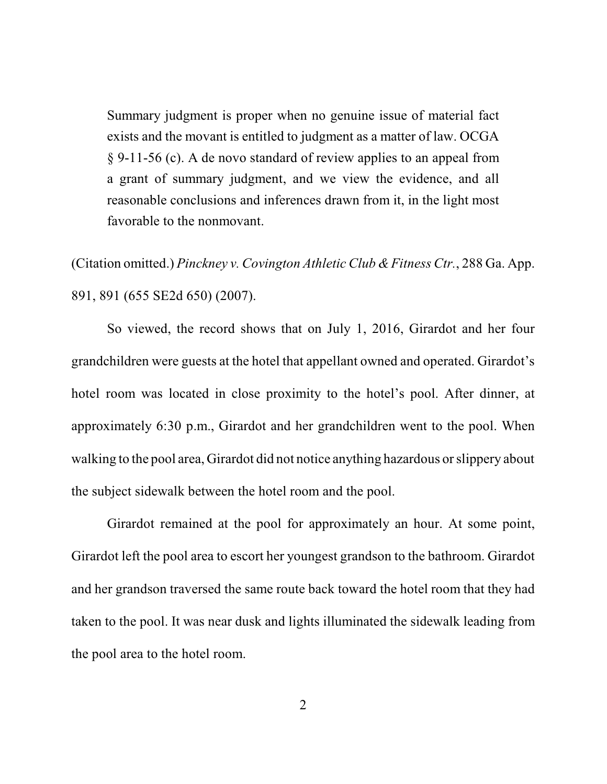Summary judgment is proper when no genuine issue of material fact exists and the movant is entitled to judgment as a matter of law. OCGA § 9-11-56 (c). A de novo standard of review applies to an appeal from a grant of summary judgment, and we view the evidence, and all reasonable conclusions and inferences drawn from it, in the light most favorable to the nonmovant.

(Citation omitted.) *Pinckney v. Covington Athletic Club &Fitness Ctr.*, 288 Ga. App. 891, 891 (655 SE2d 650) (2007).

So viewed, the record shows that on July 1, 2016, Girardot and her four grandchildren were guests at the hotel that appellant owned and operated. Girardot's hotel room was located in close proximity to the hotel's pool. After dinner, at approximately 6:30 p.m., Girardot and her grandchildren went to the pool. When walking to the pool area, Girardot did not notice anything hazardous or slippery about the subject sidewalk between the hotel room and the pool.

Girardot remained at the pool for approximately an hour. At some point, Girardot left the pool area to escort her youngest grandson to the bathroom. Girardot and her grandson traversed the same route back toward the hotel room that they had taken to the pool. It was near dusk and lights illuminated the sidewalk leading from the pool area to the hotel room.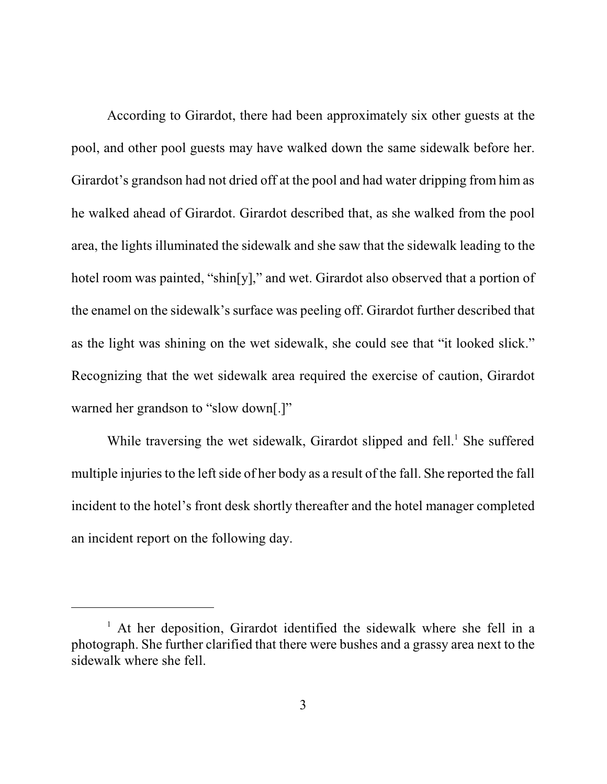According to Girardot, there had been approximately six other guests at the pool, and other pool guests may have walked down the same sidewalk before her. Girardot's grandson had not dried off at the pool and had water dripping from him as he walked ahead of Girardot. Girardot described that, as she walked from the pool area, the lights illuminated the sidewalk and she saw that the sidewalk leading to the hotel room was painted, "shin[y]," and wet. Girardot also observed that a portion of the enamel on the sidewalk's surface was peeling off. Girardot further described that as the light was shining on the wet sidewalk, she could see that "it looked slick." Recognizing that the wet sidewalk area required the exercise of caution, Girardot warned her grandson to "slow down[.]"

While traversing the wet sidewalk, Girardot slipped and fell.<sup>1</sup> She suffered multiple injuries to the left side of her body as a result of the fall. She reported the fall incident to the hotel's front desk shortly thereafter and the hotel manager completed an incident report on the following day.

<sup>&</sup>lt;sup>1</sup> At her deposition, Girardot identified the sidewalk where she fell in a photograph. She further clarified that there were bushes and a grassy area next to the sidewalk where she fell.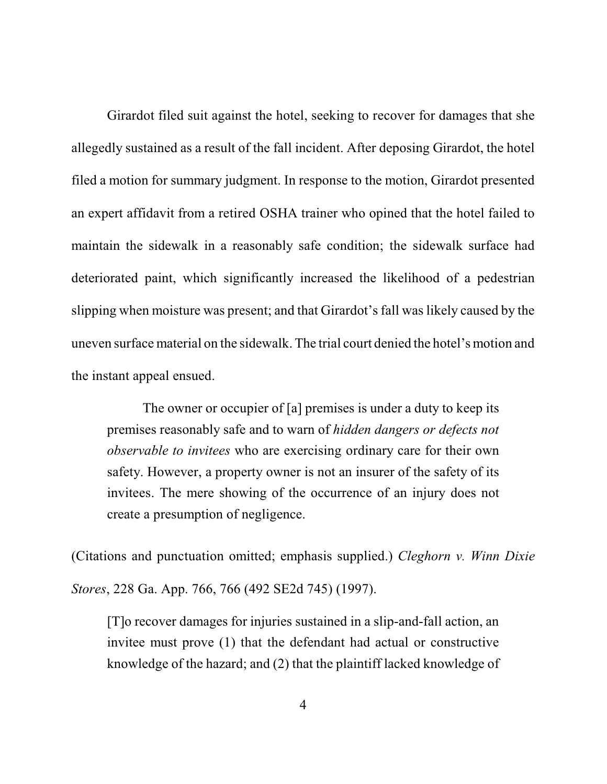Girardot filed suit against the hotel, seeking to recover for damages that she allegedly sustained as a result of the fall incident. After deposing Girardot, the hotel filed a motion for summary judgment. In response to the motion, Girardot presented an expert affidavit from a retired OSHA trainer who opined that the hotel failed to maintain the sidewalk in a reasonably safe condition; the sidewalk surface had deteriorated paint, which significantly increased the likelihood of a pedestrian slipping when moisture was present; and that Girardot's fall was likely caused by the uneven surface material on the sidewalk. The trial court denied the hotel's motion and the instant appeal ensued.

The owner or occupier of [a] premises is under a duty to keep its premises reasonably safe and to warn of *hidden dangers or defects not observable to invitees* who are exercising ordinary care for their own safety. However, a property owner is not an insurer of the safety of its invitees. The mere showing of the occurrence of an injury does not create a presumption of negligence.

(Citations and punctuation omitted; emphasis supplied.) *Cleghorn v. Winn Dixie Stores*, 228 Ga. App. 766, 766 (492 SE2d 745) (1997).

[T]o recover damages for injuries sustained in a slip-and-fall action, an invitee must prove (1) that the defendant had actual or constructive knowledge of the hazard; and (2) that the plaintiff lacked knowledge of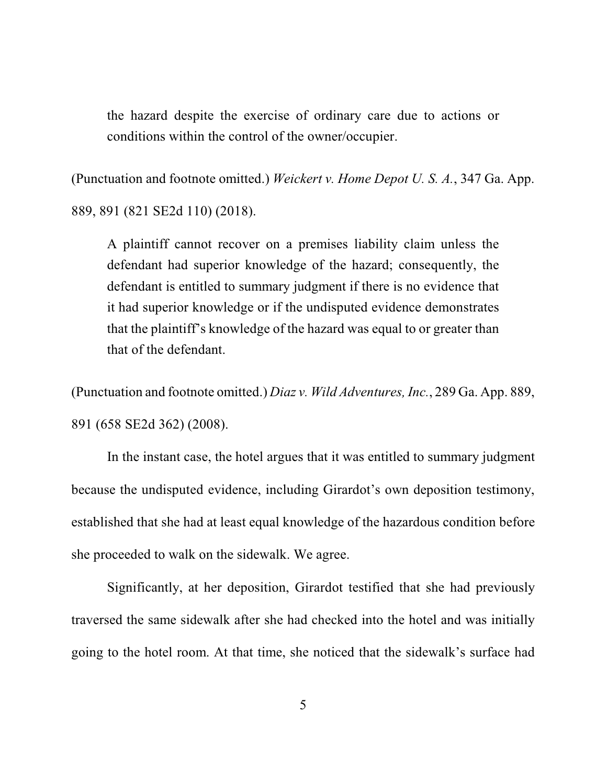the hazard despite the exercise of ordinary care due to actions or conditions within the control of the owner/occupier.

(Punctuation and footnote omitted.) *Weickert v. Home Depot U. S. A.*, 347 Ga. App. 889, 891 (821 SE2d 110) (2018).

A plaintiff cannot recover on a premises liability claim unless the defendant had superior knowledge of the hazard; consequently, the defendant is entitled to summary judgment if there is no evidence that it had superior knowledge or if the undisputed evidence demonstrates that the plaintiff's knowledge of the hazard was equal to or greater than that of the defendant.

(Punctuation and footnote omitted.) *Diaz v. Wild Adventures, Inc.*, 289 Ga. App. 889, 891 (658 SE2d 362) (2008).

In the instant case, the hotel argues that it was entitled to summary judgment because the undisputed evidence, including Girardot's own deposition testimony, established that she had at least equal knowledge of the hazardous condition before she proceeded to walk on the sidewalk. We agree.

Significantly, at her deposition, Girardot testified that she had previously traversed the same sidewalk after she had checked into the hotel and was initially going to the hotel room. At that time, she noticed that the sidewalk's surface had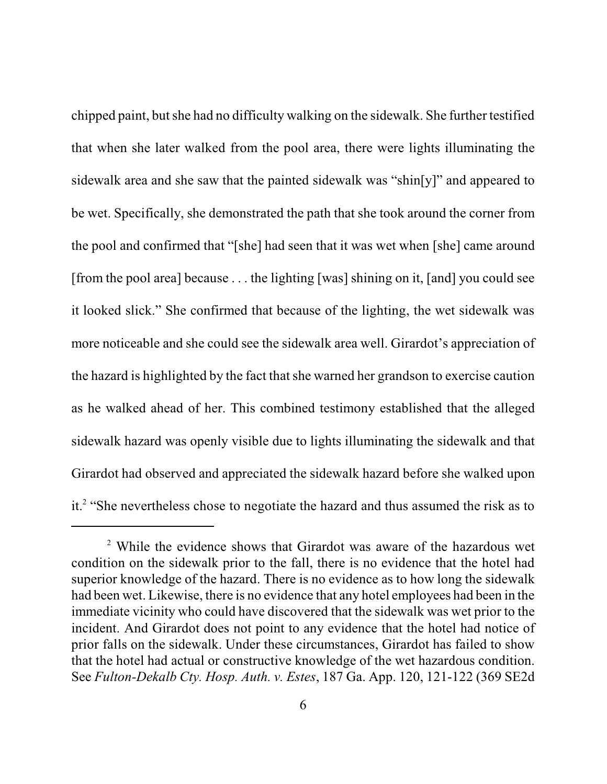chipped paint, butshe had no difficulty walking on the sidewalk. She further testified that when she later walked from the pool area, there were lights illuminating the sidewalk area and she saw that the painted sidewalk was "shin[y]" and appeared to be wet. Specifically, she demonstrated the path that she took around the corner from the pool and confirmed that "[she] had seen that it was wet when [she] came around [from the pool area] because . . . the lighting [was] shining on it, [and] you could see it looked slick." She confirmed that because of the lighting, the wet sidewalk was more noticeable and she could see the sidewalk area well. Girardot's appreciation of the hazard is highlighted by the fact that she warned her grandson to exercise caution as he walked ahead of her. This combined testimony established that the alleged sidewalk hazard was openly visible due to lights illuminating the sidewalk and that Girardot had observed and appreciated the sidewalk hazard before she walked upon it.<sup>2</sup> "She nevertheless chose to negotiate the hazard and thus assumed the risk as to

<sup>2</sup> While the evidence shows that Girardot was aware of the hazardous wet condition on the sidewalk prior to the fall, there is no evidence that the hotel had superior knowledge of the hazard. There is no evidence as to how long the sidewalk had been wet. Likewise, there is no evidence that any hotel employees had been in the immediate vicinity who could have discovered that the sidewalk was wet prior to the incident. And Girardot does not point to any evidence that the hotel had notice of prior falls on the sidewalk. Under these circumstances, Girardot has failed to show that the hotel had actual or constructive knowledge of the wet hazardous condition. See *Fulton-Dekalb Cty. Hosp. Auth. v. Estes*, 187 Ga. App. 120, 121-122 (369 SE2d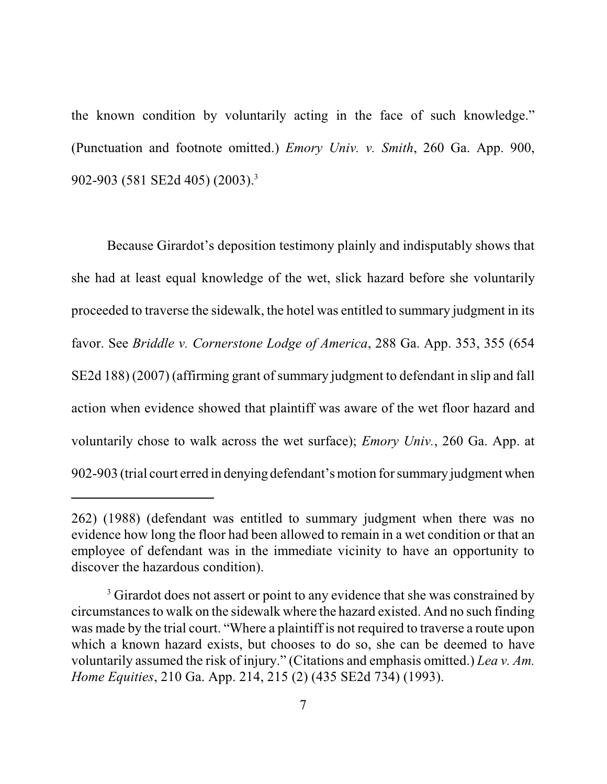the known condition by voluntarily acting in the face of such knowledge." (Punctuation and footnote omitted.) *Emory Univ. v. Smith*, 260 Ga. App. 900, 902-903 (581 SE2d 405) (2003).<sup>3</sup>

Because Girardot's deposition testimony plainly and indisputably shows that she had at least equal knowledge of the wet, slick hazard before she voluntarily proceeded to traverse the sidewalk, the hotel was entitled to summary judgment in its favor. See *Briddle v. Cornerstone Lodge of America*, 288 Ga. App. 353, 355 (654 SE2d 188) (2007) (affirming grant of summary judgment to defendant in slip and fall action when evidence showed that plaintiff was aware of the wet floor hazard and voluntarily chose to walk across the wet surface); *Emory Univ.*, 260 Ga. App. at 902-903 (trial court erred in denying defendant'smotion for summary judgment when

<sup>262) (1988) (</sup>defendant was entitled to summary judgment when there was no evidence how long the floor had been allowed to remain in a wet condition or that an employee of defendant was in the immediate vicinity to have an opportunity to discover the hazardous condition).

<sup>&</sup>lt;sup>3</sup> Girardot does not assert or point to any evidence that she was constrained by circumstances to walk on the sidewalk where the hazard existed. And no such finding was made by the trial court. "Where a plaintiff is not required to traverse a route upon which a known hazard exists, but chooses to do so, she can be deemed to have voluntarily assumed the risk of injury." (Citations and emphasis omitted.) *Lea v. Am. Home Equities*, 210 Ga. App. 214, 215 (2) (435 SE2d 734) (1993).